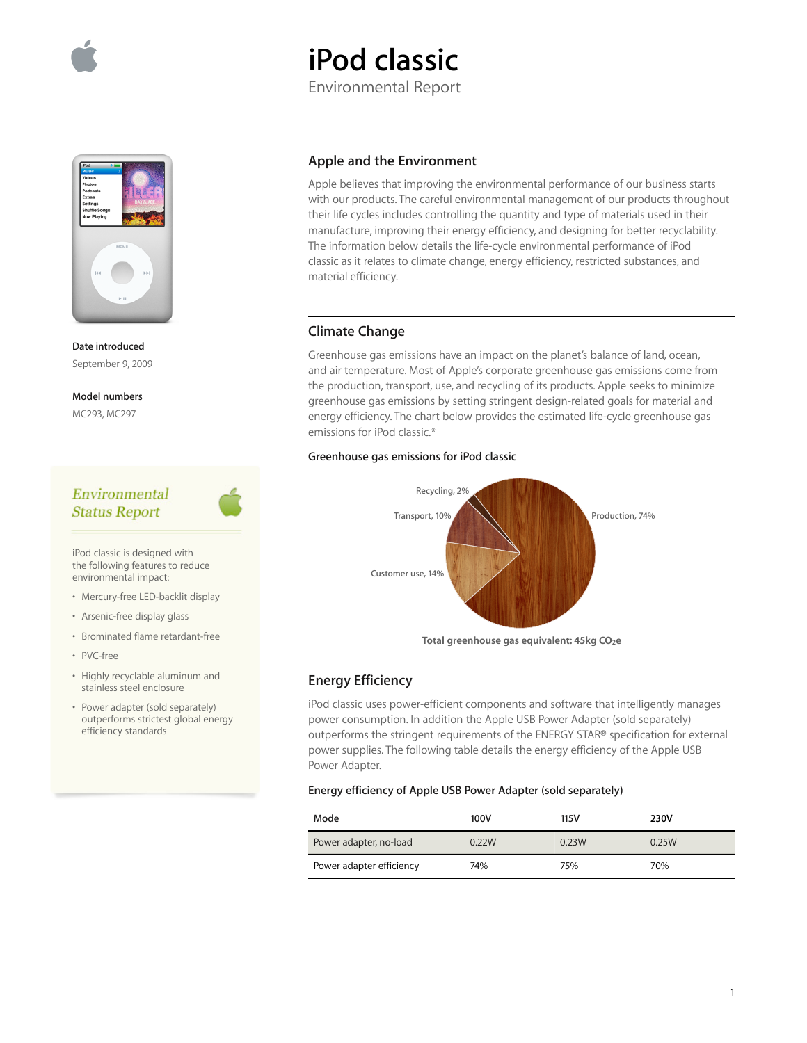

# **iPod classic**

Environmental Report



**Date introduced**  September 9, 2009

## **Model numbers**

MC293, MC297

## Environmental **Status Report**

iPod classic is designed with the following features to reduce environmental impact:

- Mercury-free LED-backlit display
- Arsenic-free display glass
- Brominated flame retardant-free
- PVC-free
- Highly recyclable aluminum and stainless steel enclosure
- Power adapter (sold separately) outperforms strictest global energy efficiency standards

## **Apple and the Environment**

Apple believes that improving the environmental performance of our business starts with our products. The careful environmental management of our products throughout their life cycles includes controlling the quantity and type of materials used in their manufacture, improving their energy efficiency, and designing for better recyclability. The information below details the life-cycle environmental performance of iPod classic as it relates to climate change, energy efficiency, restricted substances, and material efficiency.

## **Climate Change**

Greenhouse gas emissions have an impact on the planet's balance of land, ocean, and air temperature. Most of Apple's corporate greenhouse gas emissions come from the production, transport, use, and recycling of its products. Apple seeks to minimize greenhouse gas emissions by setting stringent design-related goals for material and energy efficiency. The chart below provides the estimated life-cycle greenhouse gas emissions for iPod classic.\*

## **Greenhouse gas emissions for iPod classic**



Total greenhouse gas equivalent: 45kg CO<sub>2</sub>e

## **Energy Efficiency**

iPod classic uses power-efficient components and software that intelligently manages power consumption. In addition the Apple USB Power Adapter (sold separately) outperforms the stringent requirements of the ENERGY STAR® specification for external power supplies. The following table details the energy efficiency of the Apple USB Power Adapter.

## **Energy efficiency of Apple USB Power Adapter (sold separately)**

| Mode                     | 100V  | 115V  | 230V  |
|--------------------------|-------|-------|-------|
| Power adapter, no-load   | 0.22W | 0.23W | 0.25W |
| Power adapter efficiency | 74%   | 75%   | 70%   |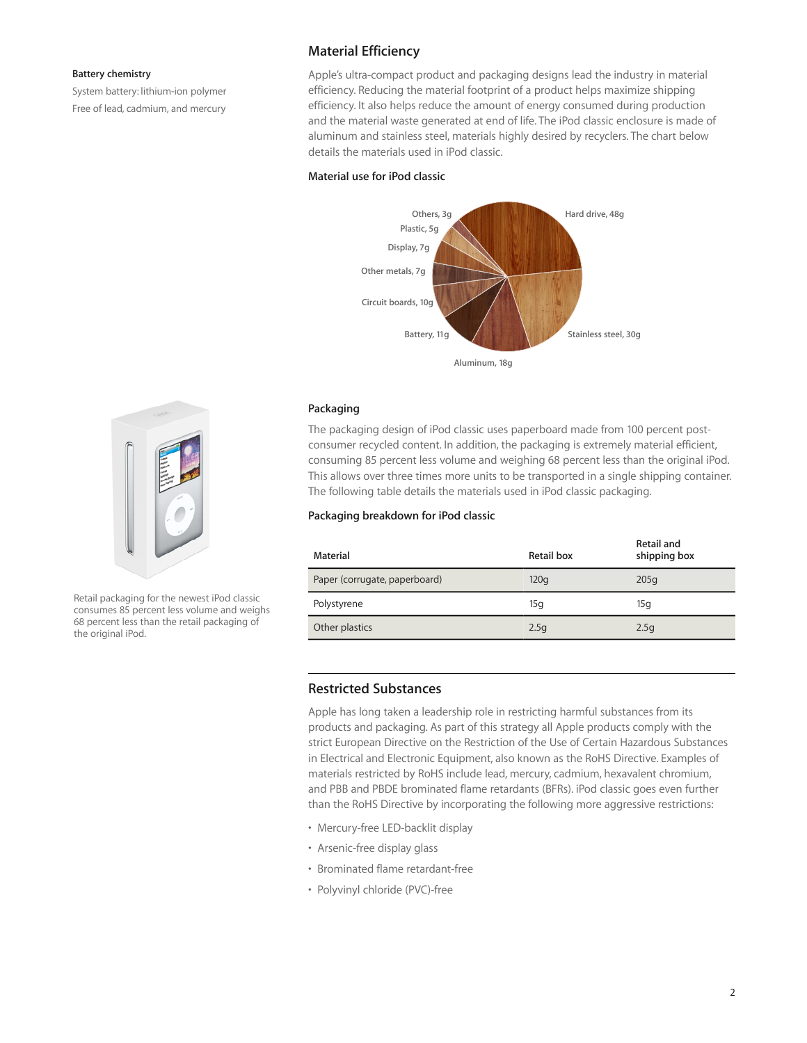#### **Battery chemistry**

System battery: lithium-ion polymer Free of lead, cadmium, and mercury

## **Material Efficiency**

Apple's ultra-compact product and packaging designs lead the industry in material efficiency. Reducing the material footprint of a product helps maximize shipping efficiency. It also helps reduce the amount of energy consumed during production and the material waste generated at end of life. The iPod classic enclosure is made of aluminum and stainless steel, materials highly desired by recyclers. The chart below details the materials used in iPod classic.

#### **Material use for iPod classic**



#### **Packaging**

The packaging design of iPod classic uses paperboard made from 100 percent postconsumer recycled content. In addition, the packaging is extremely material efficient, consuming 85 percent less volume and weighing 68 percent less than the original iPod. This allows over three times more units to be transported in a single shipping container. The following table details the materials used in iPod classic packaging.

### **Packaging breakdown for iPod classic**

| Material                      | Retail box | <b>Retail and</b><br>shipping box |
|-------------------------------|------------|-----------------------------------|
| Paper (corrugate, paperboard) | 120q       | 205q                              |
| Polystyrene                   | 15q        | 15q                               |
| Other plastics                | 2.5q       | 2.5q                              |

## **Restricted Substances**

Apple has long taken a leadership role in restricting harmful substances from its products and packaging. As part of this strategy all Apple products comply with the strict European Directive on the Restriction of the Use of Certain Hazardous Substances in Electrical and Electronic Equipment, also known as the RoHS Directive. Examples of materials restricted by RoHS include lead, mercury, cadmium, hexavalent chromium, and PBB and PBDE brominated flame retardants (BFRs). iPod classic goes even further than the RoHS Directive by incorporating the following more aggressive restrictions:

- Mercury-free LED-backlit display
- Arsenic-free display glass
- Brominated flame retardant-free
- Polyvinyl chloride (PVC)-free



Retail packaging for the newest iPod classic consumes 85 percent less volume and weighs 68 percent less than the retail packaging of the original iPod.